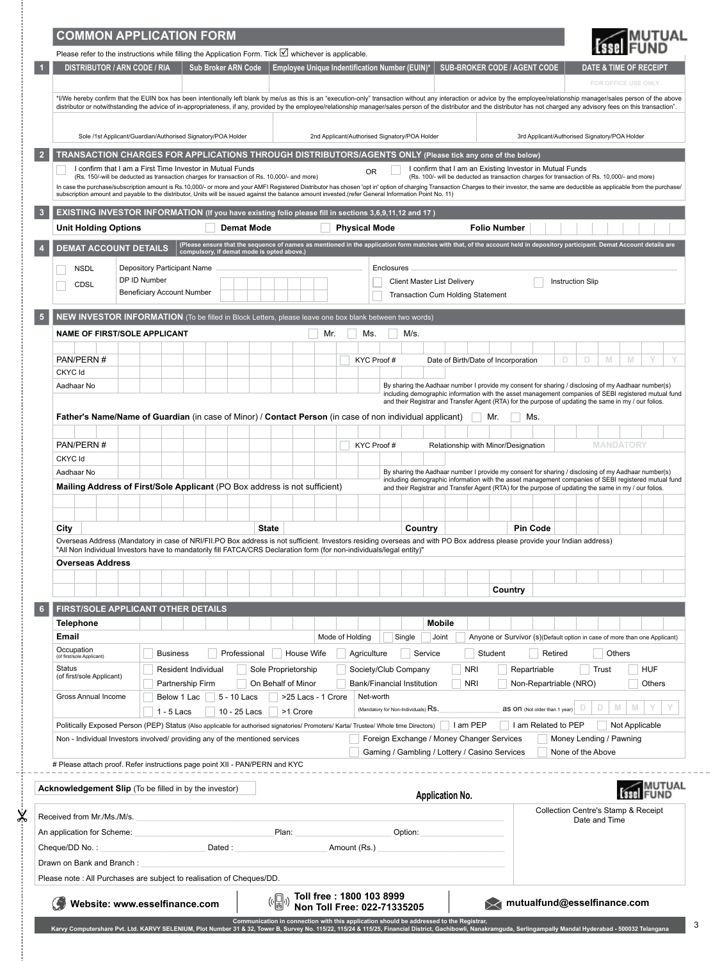|                                                                                                                                                                                                                                                                                                                                                                                           | <b>COMMON APPLICATION FORM</b>             |                                                                                                                                                                                                                          |                   |                     |                                                                    |                                         |            |                                     |                        |            |                                                                                            |                                                                                                                                                                                                               |                                               |                   |                         | <b>MUTUAL</b>                       |  |
|-------------------------------------------------------------------------------------------------------------------------------------------------------------------------------------------------------------------------------------------------------------------------------------------------------------------------------------------------------------------------------------------|--------------------------------------------|--------------------------------------------------------------------------------------------------------------------------------------------------------------------------------------------------------------------------|-------------------|---------------------|--------------------------------------------------------------------|-----------------------------------------|------------|-------------------------------------|------------------------|------------|--------------------------------------------------------------------------------------------|---------------------------------------------------------------------------------------------------------------------------------------------------------------------------------------------------------------|-----------------------------------------------|-------------------|-------------------------|-------------------------------------|--|
| Please refer to the instructions while filling the Application Form. Tick <b>⊻</b> whichever is applicable.                                                                                                                                                                                                                                                                               |                                            |                                                                                                                                                                                                                          |                   |                     |                                                                    |                                         |            |                                     |                        |            |                                                                                            |                                                                                                                                                                                                               |                                               |                   |                         |                                     |  |
| <b>DISTRIBUTOR / ARN CODE / RIA</b>                                                                                                                                                                                                                                                                                                                                                       |                                            | <b>Sub Broker ARN Code</b>                                                                                                                                                                                               |                   |                     | Employee Unique Indentification Number (EUIN)*                     |                                         |            |                                     |                        |            |                                                                                            | <b>SUB-BROKER CODE / AGENT CODE</b>                                                                                                                                                                           |                                               |                   |                         | <b>DATE &amp; TIME OF RECEIPT</b>   |  |
| *I/We hereby confirm that the EUIN box has been intentionally left blank by me/us as this is an "execution-only" transaction without any interaction or advice by the employee/relationship manager/sales person of the above                                                                                                                                                             |                                            |                                                                                                                                                                                                                          |                   |                     |                                                                    |                                         |            |                                     |                        |            |                                                                                            |                                                                                                                                                                                                               |                                               |                   |                         | FOR OFFICE USE ONLY                 |  |
| distributor or notwithstanding the advice of in-appropriateness, if any, provided by the employee/relationship manager/sales person of the distributor and the distributor has not charged any advisory fees on this transacti                                                                                                                                                            |                                            |                                                                                                                                                                                                                          |                   |                     |                                                                    |                                         |            |                                     |                        |            |                                                                                            |                                                                                                                                                                                                               |                                               |                   |                         |                                     |  |
| Sole /1st Applicant/Guardian/Authorised Signatory/POA Holder                                                                                                                                                                                                                                                                                                                              |                                            |                                                                                                                                                                                                                          |                   |                     | 2nd Applicant/Authorised Signatory/POA Holder                      |                                         |            |                                     |                        |            |                                                                                            |                                                                                                                                                                                                               | 3rd Applicant/Authorised Signatory/POA Holder |                   |                         |                                     |  |
| TRANSACTION CHARGES FOR APPLICATIONS THROUGH DISTRIBUTORS/AGENTS ONLY (Please tick any one of the below)                                                                                                                                                                                                                                                                                  |                                            |                                                                                                                                                                                                                          |                   |                     |                                                                    |                                         |            |                                     |                        |            |                                                                                            |                                                                                                                                                                                                               |                                               |                   |                         |                                     |  |
| I confirm that I am a First Time Investor in Mutual Funds<br>(Rs. 150/-will be deducted as transaction charges for transaction of Rs. 10,000/- and more)<br>In case the purchase/subscription amount is Rs.10,000/- or more and your AMFI Registered Distributor has chosen 'opt in' option of charging Transaction Charges to their investor, the same are deductible as applicable from |                                            |                                                                                                                                                                                                                          |                   |                     |                                                                    | <b>OR</b>                               |            |                                     |                        |            |                                                                                            | I confirm that I am an Existing Investor in Mutual Funds<br>(Rs. 100/- will be deducted as transaction charges for transaction of Rs. 10,000/- and more)                                                      |                                               |                   |                         |                                     |  |
| subscription amount and payable to the distributor, Units will be issued against the balance amount invested.(refer General Information Point No. 11)                                                                                                                                                                                                                                     |                                            |                                                                                                                                                                                                                          |                   |                     |                                                                    |                                         |            |                                     |                        |            |                                                                                            |                                                                                                                                                                                                               |                                               |                   |                         |                                     |  |
| EXISTING INVESTOR INFORMATION (If you have existing folio please fill in sections 3,6,9,11,12 and 17)                                                                                                                                                                                                                                                                                     |                                            |                                                                                                                                                                                                                          |                   |                     |                                                                    |                                         |            |                                     |                        |            |                                                                                            |                                                                                                                                                                                                               |                                               |                   |                         |                                     |  |
| <b>Unit Holding Options</b>                                                                                                                                                                                                                                                                                                                                                               |                                            |                                                                                                                                                                                                                          | <b>Demat Mode</b> |                     |                                                                    | <b>Physical Mode</b>                    |            |                                     |                        |            | <b>Folio Number</b>                                                                        |                                                                                                                                                                                                               |                                               |                   |                         |                                     |  |
| <b>DEMAT ACCOUNT DETAILS</b>                                                                                                                                                                                                                                                                                                                                                              |                                            | (Please ensure that the sequence of names as mentioned in the application form matches with that, of the account held in depository participant. Demat Account details are<br>compulsory, if demat mode is opted above.) |                   |                     |                                                                    |                                         |            |                                     |                        |            |                                                                                            |                                                                                                                                                                                                               |                                               |                   |                         |                                     |  |
| <b>NSDL</b>                                                                                                                                                                                                                                                                                                                                                                               | Depository Participant Name                |                                                                                                                                                                                                                          |                   |                     |                                                                    |                                         | Enclosures |                                     |                        |            |                                                                                            |                                                                                                                                                                                                               |                                               |                   |                         |                                     |  |
| CDSL                                                                                                                                                                                                                                                                                                                                                                                      | DP ID Number<br>Beneficiary Account Number |                                                                                                                                                                                                                          |                   |                     |                                                                    |                                         |            | <b>Client Master List Delivery</b>  |                        |            | Transaction Cum Holding Statement                                                          |                                                                                                                                                                                                               | <b>Instruction Slip</b>                       |                   |                         |                                     |  |
| NEW INVESTOR INFORMATION (To be filled in Block Letters, please leave one box blank between two words)                                                                                                                                                                                                                                                                                    |                                            |                                                                                                                                                                                                                          |                   |                     |                                                                    |                                         |            |                                     |                        |            |                                                                                            |                                                                                                                                                                                                               |                                               |                   |                         |                                     |  |
| <b>NAME OF FIRST/SOLE APPLICANT</b>                                                                                                                                                                                                                                                                                                                                                       |                                            |                                                                                                                                                                                                                          |                   |                     | Mr.                                                                | Ms.                                     |            | M/s.                                |                        |            |                                                                                            |                                                                                                                                                                                                               |                                               |                   |                         |                                     |  |
|                                                                                                                                                                                                                                                                                                                                                                                           |                                            |                                                                                                                                                                                                                          |                   |                     |                                                                    |                                         |            |                                     |                        |            |                                                                                            |                                                                                                                                                                                                               |                                               |                   |                         |                                     |  |
| PAN/PERN#                                                                                                                                                                                                                                                                                                                                                                                 |                                            |                                                                                                                                                                                                                          |                   |                     |                                                                    | KYC Proof #                             |            |                                     |                        |            | Date of Birth/Date of Incorporation                                                        |                                                                                                                                                                                                               | D                                             | D.                | M                       | M                                   |  |
| CKYC Id<br>Aadhaar No                                                                                                                                                                                                                                                                                                                                                                     |                                            |                                                                                                                                                                                                                          |                   |                     |                                                                    |                                         |            |                                     |                        |            |                                                                                            | By sharing the Aadhaar number I provide my consent for sharing / disclosing of my Aadhaar number(s)                                                                                                           |                                               |                   |                         |                                     |  |
|                                                                                                                                                                                                                                                                                                                                                                                           |                                            |                                                                                                                                                                                                                          |                   |                     |                                                                    |                                         |            |                                     |                        |            |                                                                                            | including demographic information with the asset management companies of SEBI registered mutual fund<br>and their Registrar and Transfer Agent (RTA) for the purpose of updating the same in my / our folios. |                                               |                   |                         |                                     |  |
| Father's Name/Name of Guardian (in case of Minor) / Contact Person (in case of non individual applicant)                                                                                                                                                                                                                                                                                  |                                            |                                                                                                                                                                                                                          |                   |                     |                                                                    |                                         |            |                                     |                        |            | Mr.                                                                                        | Ms.                                                                                                                                                                                                           |                                               |                   |                         |                                     |  |
|                                                                                                                                                                                                                                                                                                                                                                                           |                                            |                                                                                                                                                                                                                          |                   |                     |                                                                    |                                         |            |                                     |                        |            |                                                                                            |                                                                                                                                                                                                               |                                               |                   |                         |                                     |  |
| PAN/PERN#                                                                                                                                                                                                                                                                                                                                                                                 |                                            |                                                                                                                                                                                                                          |                   |                     |                                                                    | KYC Proof #                             |            |                                     |                        |            |                                                                                            | Relationship with Minor/Designation                                                                                                                                                                           |                                               |                   | <b>MANDATORY</b>        |                                     |  |
| <b>CKYC</b> Id<br>Aadhaar No                                                                                                                                                                                                                                                                                                                                                              |                                            |                                                                                                                                                                                                                          |                   |                     |                                                                    |                                         |            |                                     |                        |            |                                                                                            | By sharing the Aadhaar number I provide my consent for sharing / disclosing of my Aadhaar number(s)                                                                                                           |                                               |                   |                         |                                     |  |
| Mailing Address of First/Sole Applicant (PO Box address is not sufficient)                                                                                                                                                                                                                                                                                                                |                                            |                                                                                                                                                                                                                          |                   |                     |                                                                    |                                         |            |                                     |                        |            |                                                                                            | including demographic information with the asset management companies of SEBI registered mutual fund<br>and their Registrar and Transfer Agent (RTA) for the purpose of updating the same in my / our folios. |                                               |                   |                         |                                     |  |
|                                                                                                                                                                                                                                                                                                                                                                                           |                                            |                                                                                                                                                                                                                          |                   |                     |                                                                    |                                         |            |                                     |                        |            |                                                                                            |                                                                                                                                                                                                               |                                               |                   |                         |                                     |  |
|                                                                                                                                                                                                                                                                                                                                                                                           |                                            |                                                                                                                                                                                                                          |                   |                     |                                                                    |                                         |            |                                     |                        |            |                                                                                            |                                                                                                                                                                                                               |                                               |                   |                         |                                     |  |
| City<br>Overseas Address (Mandatory in case of NRI/FII.PO Box address is not sufficient. Investors residing overseas and with PO Box address please provide your Indian address)                                                                                                                                                                                                          |                                            |                                                                                                                                                                                                                          | <b>State</b>      |                     |                                                                    |                                         |            | Country                             |                        |            |                                                                                            | <b>Pin Code</b>                                                                                                                                                                                               |                                               |                   |                         |                                     |  |
| "All Non Individual Investors have to mandatorily fill FATCA/CRS Declaration form (for non-individuals/legal entity)"                                                                                                                                                                                                                                                                     |                                            |                                                                                                                                                                                                                          |                   |                     |                                                                    |                                         |            |                                     |                        |            |                                                                                            |                                                                                                                                                                                                               |                                               |                   |                         |                                     |  |
| <b>Overseas Address</b>                                                                                                                                                                                                                                                                                                                                                                   |                                            |                                                                                                                                                                                                                          |                   |                     |                                                                    |                                         |            |                                     |                        |            |                                                                                            |                                                                                                                                                                                                               |                                               |                   |                         |                                     |  |
|                                                                                                                                                                                                                                                                                                                                                                                           |                                            |                                                                                                                                                                                                                          |                   |                     |                                                                    |                                         |            |                                     |                        |            | Country                                                                                    |                                                                                                                                                                                                               |                                               |                   |                         |                                     |  |
|                                                                                                                                                                                                                                                                                                                                                                                           |                                            |                                                                                                                                                                                                                          |                   |                     |                                                                    |                                         |            |                                     |                        |            |                                                                                            |                                                                                                                                                                                                               |                                               |                   |                         |                                     |  |
|                                                                                                                                                                                                                                                                                                                                                                                           |                                            |                                                                                                                                                                                                                          |                   |                     |                                                                    |                                         |            |                                     |                        |            |                                                                                            |                                                                                                                                                                                                               |                                               |                   |                         |                                     |  |
| FIRST/SOLE APPLICANT OTHER DETAILS<br><b>Telephone</b>                                                                                                                                                                                                                                                                                                                                    |                                            |                                                                                                                                                                                                                          |                   |                     |                                                                    |                                         |            |                                     | <b>Mobile</b>          |            |                                                                                            |                                                                                                                                                                                                               |                                               |                   |                         |                                     |  |
| Email                                                                                                                                                                                                                                                                                                                                                                                     |                                            |                                                                                                                                                                                                                          |                   |                     | Mode of Holding                                                    |                                         |            | Single                              | Joint                  |            |                                                                                            | Anyone or Survivor (s)(Default option in case of more than one Applicant)                                                                                                                                     |                                               |                   |                         |                                     |  |
| Occupation<br>(of first/sole Applicant)                                                                                                                                                                                                                                                                                                                                                   | <b>Business</b>                            | Professional                                                                                                                                                                                                             |                   | House Wife          |                                                                    | Agriculture                             |            | Service                             |                        |            | Student                                                                                    |                                                                                                                                                                                                               | Retired                                       |                   | Others                  |                                     |  |
| Status<br>(of first/sole Applicant)                                                                                                                                                                                                                                                                                                                                                       | Resident Individual                        |                                                                                                                                                                                                                          |                   | Sole Proprietorship |                                                                    | Society/Club Company                    |            |                                     |                        | <b>NRI</b> |                                                                                            | Repartriable                                                                                                                                                                                                  |                                               |                   | Trust                   | <b>HUF</b>                          |  |
| Gross Annual Income                                                                                                                                                                                                                                                                                                                                                                       | Partnership Firm                           |                                                                                                                                                                                                                          |                   | On Behalf of Minor  |                                                                    | Bank/Financial Institution<br>Net-worth |            |                                     |                        | <b>NRI</b> |                                                                                            | Non-Repartriable (NRO)                                                                                                                                                                                        |                                               |                   |                         | Others                              |  |
|                                                                                                                                                                                                                                                                                                                                                                                           | Below 1 Lac<br>$1 - 5$ Lacs                | 5 - 10 Lacs<br>10 - 25 Lacs                                                                                                                                                                                              |                   | >1 Crore            | >25 Lacs - 1 Crore                                                 |                                         |            | (Mandatory for Non-Individuals) RS. |                        |            |                                                                                            | as on (Not older than 1 year)                                                                                                                                                                                 |                                               | D                 | D<br>M                  | M                                   |  |
| Politically Exposed Person (PEP) Status (Also applicable for authorised signatories/ Promoters/ Karta/ Trustee/ Whole time Directors)                                                                                                                                                                                                                                                     |                                            |                                                                                                                                                                                                                          |                   |                     |                                                                    |                                         |            |                                     |                        | I am PEP   |                                                                                            | I am Related to PEP                                                                                                                                                                                           |                                               |                   |                         | Not Applicable                      |  |
| Non - Individual Investors involved/ providing any of the mentioned services                                                                                                                                                                                                                                                                                                              |                                            |                                                                                                                                                                                                                          |                   |                     |                                                                    |                                         |            |                                     |                        |            | Foreign Exchange / Money Changer Services<br>Gaming / Gambling / Lottery / Casino Services |                                                                                                                                                                                                               |                                               | None of the Above | Money Lending / Pawning |                                     |  |
| # Please attach proof. Refer instructions page point XII - PAN/PERN and KYC                                                                                                                                                                                                                                                                                                               |                                            |                                                                                                                                                                                                                          |                   |                     |                                                                    |                                         |            |                                     |                        |            |                                                                                            |                                                                                                                                                                                                               |                                               |                   |                         |                                     |  |
| <b>Acknowledgement Slip</b> (To be filled in by the investor)                                                                                                                                                                                                                                                                                                                             |                                            |                                                                                                                                                                                                                          |                   |                     |                                                                    |                                         |            |                                     | <b>Application No.</b> |            |                                                                                            |                                                                                                                                                                                                               |                                               |                   |                         |                                     |  |
|                                                                                                                                                                                                                                                                                                                                                                                           |                                            |                                                                                                                                                                                                                          |                   |                     |                                                                    |                                         |            |                                     |                        |            |                                                                                            |                                                                                                                                                                                                               |                                               |                   |                         | Collection Centre's Stamp & Receipt |  |
| Received from Mr./Ms./M/s.                                                                                                                                                                                                                                                                                                                                                                |                                            |                                                                                                                                                                                                                          |                   |                     |                                                                    |                                         |            |                                     |                        |            |                                                                                            |                                                                                                                                                                                                               |                                               | Date and Time     |                         |                                     |  |
| An application for Scheme:<br>Cheque/DD No.:                                                                                                                                                                                                                                                                                                                                              |                                            | Dated:                                                                                                                                                                                                                   |                   | Plan:               |                                                                    | Amount (Rs.)                            |            | Option:                             |                        |            |                                                                                            |                                                                                                                                                                                                               |                                               |                   |                         |                                     |  |
| Drawn on Bank and Branch:                                                                                                                                                                                                                                                                                                                                                                 |                                            |                                                                                                                                                                                                                          |                   |                     |                                                                    |                                         |            |                                     |                        |            |                                                                                            |                                                                                                                                                                                                               |                                               |                   |                         |                                     |  |
| Please note: All Purchases are subject to realisation of Cheques/DD.                                                                                                                                                                                                                                                                                                                      |                                            |                                                                                                                                                                                                                          |                   |                     |                                                                    |                                         |            |                                     |                        |            |                                                                                            |                                                                                                                                                                                                               |                                               |                   |                         |                                     |  |
| Website: www.esselfinance.com                                                                                                                                                                                                                                                                                                                                                             |                                            |                                                                                                                                                                                                                          |                   |                     | (⊙∭)) Toll free : 1800 103 8999<br>(∭) Non Toll Free: 022-71335205 |                                         |            |                                     |                        |            |                                                                                            | mutualfund@esselfinance.com                                                                                                                                                                                   |                                               |                   |                         |                                     |  |

 $-35$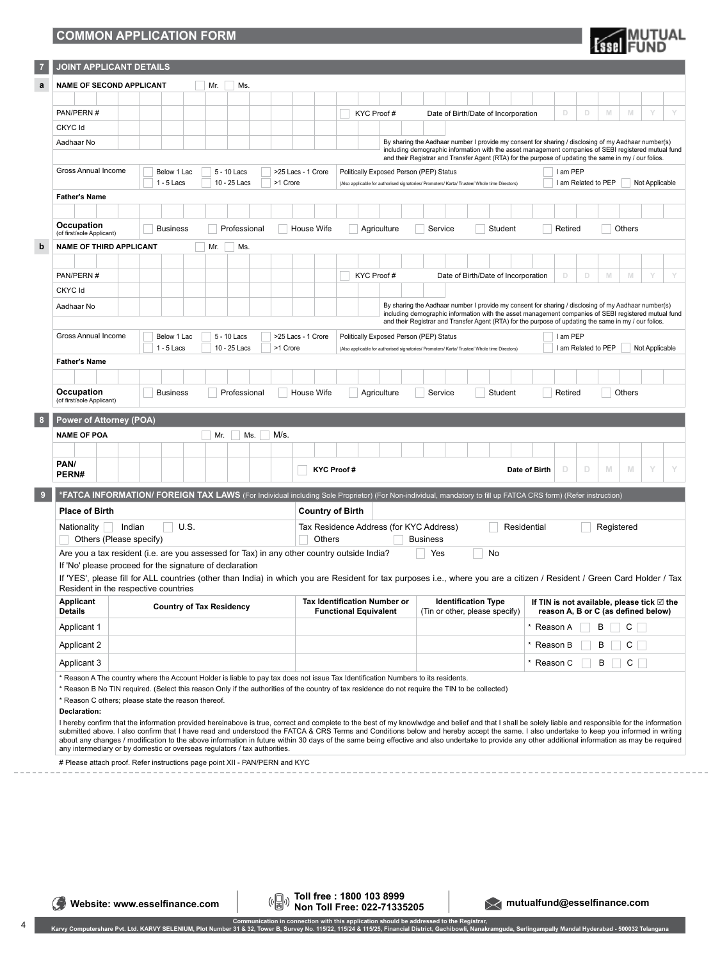## **COMMON APPLICATION FORM**

| <b>Essel</b> FUND |
|-------------------|
|-------------------|

| $\overline{7}$ | <b>JOINT APPLICANT DETAILS</b>                                                                                                                                                                                                                                                                                                                                                                                                                                                                                                                                                                                             |                                                                                                                                                                                                             |                          |  |     |              |                                                                                                          |          |                                                              |                                                                                                                                                              |  |            |                                         |                                                                                               |                                                              |                                                                                                                                                                                                             |         |               |                                                                                             |                |   |                     |                |                |   |
|----------------|----------------------------------------------------------------------------------------------------------------------------------------------------------------------------------------------------------------------------------------------------------------------------------------------------------------------------------------------------------------------------------------------------------------------------------------------------------------------------------------------------------------------------------------------------------------------------------------------------------------------------|-------------------------------------------------------------------------------------------------------------------------------------------------------------------------------------------------------------|--------------------------|--|-----|--------------|----------------------------------------------------------------------------------------------------------|----------|--------------------------------------------------------------|--------------------------------------------------------------------------------------------------------------------------------------------------------------|--|------------|-----------------------------------------|-----------------------------------------------------------------------------------------------|--------------------------------------------------------------|-------------------------------------------------------------------------------------------------------------------------------------------------------------------------------------------------------------|---------|---------------|---------------------------------------------------------------------------------------------|----------------|---|---------------------|----------------|----------------|---|
| a              |                                                                                                                                                                                                                                                                                                                                                                                                                                                                                                                                                                                                                            | <b>NAME OF SECOND APPLICANT</b><br>Mr.<br>Ms.                                                                                                                                                               |                          |  |     |              |                                                                                                          |          |                                                              |                                                                                                                                                              |  |            |                                         |                                                                                               |                                                              |                                                                                                                                                                                                             |         |               |                                                                                             |                |   |                     |                |                |   |
|                |                                                                                                                                                                                                                                                                                                                                                                                                                                                                                                                                                                                                                            |                                                                                                                                                                                                             |                          |  |     |              |                                                                                                          |          |                                                              |                                                                                                                                                              |  |            |                                         |                                                                                               |                                                              |                                                                                                                                                                                                             |         |               |                                                                                             |                |   |                     |                |                |   |
|                | PAN/PERN #                                                                                                                                                                                                                                                                                                                                                                                                                                                                                                                                                                                                                 |                                                                                                                                                                                                             |                          |  |     |              |                                                                                                          |          |                                                              |                                                                                                                                                              |  | KYC Proof# |                                         |                                                                                               |                                                              | Date of Birth/Date of Incorporation                                                                                                                                                                         |         |               |                                                                                             | D              | D | M                   | M              | Y              |   |
|                | CKYC Id                                                                                                                                                                                                                                                                                                                                                                                                                                                                                                                                                                                                                    |                                                                                                                                                                                                             |                          |  |     |              |                                                                                                          |          |                                                              |                                                                                                                                                              |  |            |                                         |                                                                                               |                                                              |                                                                                                                                                                                                             |         |               |                                                                                             |                |   |                     |                |                |   |
|                | Aadhaar No                                                                                                                                                                                                                                                                                                                                                                                                                                                                                                                                                                                                                 |                                                                                                                                                                                                             |                          |  |     |              |                                                                                                          |          |                                                              |                                                                                                                                                              |  |            |                                         |                                                                                               |                                                              | By sharing the Aadhaar number I provide my consent for sharing / disclosing of my Aadhaar number(s)<br>including demographic information with the asset management companies of SEBI registered mutual fund |         |               |                                                                                             |                |   |                     |                |                |   |
|                | Gross Annual Income<br>Below 1 Lac<br>5 - 10 Lacs<br>>25 Lacs - 1 Crore                                                                                                                                                                                                                                                                                                                                                                                                                                                                                                                                                    |                                                                                                                                                                                                             |                          |  |     |              |                                                                                                          |          |                                                              | and their Registrar and Transfer Agent (RTA) for the purpose of updating the same in my / our folios.<br>I am PEP<br>Politically Exposed Person (PEP) Status |  |            |                                         |                                                                                               |                                                              |                                                                                                                                                                                                             |         |               |                                                                                             |                |   |                     |                |                |   |
|                |                                                                                                                                                                                                                                                                                                                                                                                                                                                                                                                                                                                                                            | $1 - 5$ Lacs<br>10 - 25 Lacs<br>>1 Crore                                                                                                                                                                    |                          |  |     |              |                                                                                                          |          |                                                              |                                                                                                                                                              |  |            |                                         | (Also applicable for authorised signatories/ Promoters/ Karta/ Trustee/ Whole time Directors) |                                                              |                                                                                                                                                                                                             |         |               | I am Related to PEP                                                                         | Not Applicable |   |                     |                |                |   |
|                | <b>Father's Name</b>                                                                                                                                                                                                                                                                                                                                                                                                                                                                                                                                                                                                       |                                                                                                                                                                                                             |                          |  |     |              |                                                                                                          |          |                                                              |                                                                                                                                                              |  |            |                                         |                                                                                               |                                                              |                                                                                                                                                                                                             |         |               |                                                                                             |                |   |                     |                |                |   |
|                |                                                                                                                                                                                                                                                                                                                                                                                                                                                                                                                                                                                                                            |                                                                                                                                                                                                             |                          |  |     |              |                                                                                                          |          |                                                              |                                                                                                                                                              |  |            |                                         |                                                                                               |                                                              |                                                                                                                                                                                                             |         |               |                                                                                             |                |   |                     |                |                |   |
|                | Occupation<br>(of first/sole Applicant)                                                                                                                                                                                                                                                                                                                                                                                                                                                                                                                                                                                    |                                                                                                                                                                                                             | <b>Business</b>          |  |     | Professional |                                                                                                          |          | House Wife                                                   |                                                                                                                                                              |  |            | Agriculture                             |                                                                                               | Service                                                      |                                                                                                                                                                                                             | Student |               |                                                                                             | Retired        |   |                     | Others         |                |   |
| b              | <b>NAME OF THIRD APPLICANT</b><br>Mr.<br>Ms.                                                                                                                                                                                                                                                                                                                                                                                                                                                                                                                                                                               |                                                                                                                                                                                                             |                          |  |     |              |                                                                                                          |          |                                                              |                                                                                                                                                              |  |            |                                         |                                                                                               |                                                              |                                                                                                                                                                                                             |         |               |                                                                                             |                |   |                     |                |                |   |
|                |                                                                                                                                                                                                                                                                                                                                                                                                                                                                                                                                                                                                                            |                                                                                                                                                                                                             |                          |  |     |              |                                                                                                          |          |                                                              |                                                                                                                                                              |  |            |                                         |                                                                                               |                                                              |                                                                                                                                                                                                             |         |               |                                                                                             |                |   |                     |                |                |   |
|                | PAN/PERN #                                                                                                                                                                                                                                                                                                                                                                                                                                                                                                                                                                                                                 |                                                                                                                                                                                                             |                          |  |     |              |                                                                                                          |          |                                                              |                                                                                                                                                              |  | KYC Proof# |                                         |                                                                                               |                                                              | Date of Birth/Date of Incorporation                                                                                                                                                                         |         |               |                                                                                             | D              | D | M                   | M              |                |   |
|                | CKYC Id                                                                                                                                                                                                                                                                                                                                                                                                                                                                                                                                                                                                                    |                                                                                                                                                                                                             |                          |  |     |              |                                                                                                          |          |                                                              |                                                                                                                                                              |  |            |                                         |                                                                                               |                                                              |                                                                                                                                                                                                             |         |               |                                                                                             |                |   |                     |                |                |   |
|                | Aadhaar No                                                                                                                                                                                                                                                                                                                                                                                                                                                                                                                                                                                                                 | By sharing the Aadhaar number I provide my consent for sharing / disclosing of my Aadhaar number(s)<br>including demographic information with the asset management companies of SEBI registered mutual fund |                          |  |     |              |                                                                                                          |          |                                                              |                                                                                                                                                              |  |            |                                         |                                                                                               |                                                              |                                                                                                                                                                                                             |         |               |                                                                                             |                |   |                     |                |                |   |
|                |                                                                                                                                                                                                                                                                                                                                                                                                                                                                                                                                                                                                                            | and their Registrar and Transfer Agent (RTA) for the purpose of updating the same in my / our folios.                                                                                                       |                          |  |     |              |                                                                                                          |          |                                                              |                                                                                                                                                              |  |            |                                         |                                                                                               |                                                              |                                                                                                                                                                                                             |         |               |                                                                                             |                |   |                     |                |                |   |
|                | Gross Annual Income                                                                                                                                                                                                                                                                                                                                                                                                                                                                                                                                                                                                        |                                                                                                                                                                                                             | Below 1 Lac              |  |     | 5 - 10 Lacs  |                                                                                                          |          | >25 Lacs - 1 Crore                                           |                                                                                                                                                              |  |            | Politically Exposed Person (PEP) Status |                                                                                               |                                                              |                                                                                                                                                                                                             |         |               |                                                                                             | I am PEP       |   |                     |                |                |   |
|                | <b>Father's Name</b>                                                                                                                                                                                                                                                                                                                                                                                                                                                                                                                                                                                                       |                                                                                                                                                                                                             | $1 - 5$ Lacs             |  |     | 10 - 25 Lacs |                                                                                                          | >1 Crore |                                                              |                                                                                                                                                              |  |            |                                         |                                                                                               |                                                              | (Also applicable for authorised signatories/ Promoters/ Karta/ Trustee/ Whole time Directors)                                                                                                               |         |               |                                                                                             |                |   | I am Related to PEP |                | Not Applicable |   |
|                |                                                                                                                                                                                                                                                                                                                                                                                                                                                                                                                                                                                                                            |                                                                                                                                                                                                             |                          |  |     |              |                                                                                                          |          |                                                              |                                                                                                                                                              |  |            |                                         |                                                                                               |                                                              |                                                                                                                                                                                                             |         |               |                                                                                             |                |   |                     |                |                |   |
|                | Occupation                                                                                                                                                                                                                                                                                                                                                                                                                                                                                                                                                                                                                 |                                                                                                                                                                                                             | <b>Business</b>          |  |     | Professional |                                                                                                          |          | House Wife                                                   |                                                                                                                                                              |  |            | Agriculture                             |                                                                                               | Service                                                      |                                                                                                                                                                                                             | Student |               |                                                                                             | Retired        |   |                     | Others         |                |   |
|                | (of first/sole Applicant)                                                                                                                                                                                                                                                                                                                                                                                                                                                                                                                                                                                                  |                                                                                                                                                                                                             |                          |  |     |              |                                                                                                          |          |                                                              |                                                                                                                                                              |  |            |                                         |                                                                                               |                                                              |                                                                                                                                                                                                             |         |               |                                                                                             |                |   |                     |                |                |   |
| 8              | Power of Attorney (POA)                                                                                                                                                                                                                                                                                                                                                                                                                                                                                                                                                                                                    |                                                                                                                                                                                                             |                          |  |     |              |                                                                                                          |          |                                                              |                                                                                                                                                              |  |            |                                         |                                                                                               |                                                              |                                                                                                                                                                                                             |         |               |                                                                                             |                |   |                     |                |                |   |
|                | <b>NAME OF POA</b>                                                                                                                                                                                                                                                                                                                                                                                                                                                                                                                                                                                                         |                                                                                                                                                                                                             |                          |  | Mr. |              | Ms.                                                                                                      | M/s.     |                                                              |                                                                                                                                                              |  |            |                                         |                                                                                               |                                                              |                                                                                                                                                                                                             |         |               |                                                                                             |                |   |                     |                |                |   |
|                |                                                                                                                                                                                                                                                                                                                                                                                                                                                                                                                                                                                                                            |                                                                                                                                                                                                             |                          |  |     |              |                                                                                                          |          |                                                              |                                                                                                                                                              |  |            |                                         |                                                                                               |                                                              |                                                                                                                                                                                                             |         |               |                                                                                             |                |   |                     |                |                |   |
|                | PAN/<br>PERN#                                                                                                                                                                                                                                                                                                                                                                                                                                                                                                                                                                                                              |                                                                                                                                                                                                             |                          |  |     |              |                                                                                                          |          |                                                              | <b>KYC Proof#</b>                                                                                                                                            |  |            |                                         |                                                                                               |                                                              |                                                                                                                                                                                                             |         | Date of Birth |                                                                                             | D              | D | M                   | M.             | Y              | Y |
| 9              | *FATCA INFORMATION/ FOREIGN TAX LAWS (For individual including Sole Proprietor) (For Non-individual, mandatory to fill up FATCA CRS form) (Refer instruction)                                                                                                                                                                                                                                                                                                                                                                                                                                                              |                                                                                                                                                                                                             |                          |  |     |              |                                                                                                          |          |                                                              |                                                                                                                                                              |  |            |                                         |                                                                                               |                                                              |                                                                                                                                                                                                             |         |               |                                                                                             |                |   |                     |                |                |   |
|                | <b>Place of Birth</b>                                                                                                                                                                                                                                                                                                                                                                                                                                                                                                                                                                                                      |                                                                                                                                                                                                             |                          |  |     |              |                                                                                                          |          |                                                              | <b>Country of Birth</b>                                                                                                                                      |  |            |                                         |                                                                                               |                                                              |                                                                                                                                                                                                             |         |               |                                                                                             |                |   |                     |                |                |   |
|                | U.S.<br>Nationality<br>Indian<br>Others (Please specify)                                                                                                                                                                                                                                                                                                                                                                                                                                                                                                                                                                   |                                                                                                                                                                                                             |                          |  |     |              | Tax Residence Address (for KYC Address)<br>Residential<br>Registered<br><b>Others</b><br><b>Business</b> |          |                                                              |                                                                                                                                                              |  |            |                                         |                                                                                               |                                                              |                                                                                                                                                                                                             |         |               |                                                                                             |                |   |                     |                |                |   |
|                | Are you a tax resident (i.e. are you assessed for Tax) in any other country outside India?                                                                                                                                                                                                                                                                                                                                                                                                                                                                                                                                 |                                                                                                                                                                                                             |                          |  |     |              |                                                                                                          |          |                                                              |                                                                                                                                                              |  |            |                                         |                                                                                               | Yes                                                          |                                                                                                                                                                                                             | No      |               |                                                                                             |                |   |                     |                |                |   |
|                | If 'No' please proceed for the signature of declaration<br>If 'YES', please fill for ALL countries (other than India) in which you are Resident for tax purposes i.e., where you are a citizen / Resident / Green Card Holder / Tax                                                                                                                                                                                                                                                                                                                                                                                        |                                                                                                                                                                                                             |                          |  |     |              |                                                                                                          |          |                                                              |                                                                                                                                                              |  |            |                                         |                                                                                               |                                                              |                                                                                                                                                                                                             |         |               |                                                                                             |                |   |                     |                |                |   |
|                | Resident in the respective countries                                                                                                                                                                                                                                                                                                                                                                                                                                                                                                                                                                                       |                                                                                                                                                                                                             | Country of Tax Residency |  |     |              |                                                                                                          |          | Tax Identification Number or<br><b>Functional Equivalent</b> |                                                                                                                                                              |  |            |                                         |                                                                                               | <b>Identification Type</b><br>(Tin or other, please specify) |                                                                                                                                                                                                             |         |               | If TIN is not available, please tick $\boxtimes$ the<br>reason A, B or C (as defined below) |                |   |                     |                |                |   |
|                | Applicant                                                                                                                                                                                                                                                                                                                                                                                                                                                                                                                                                                                                                  |                                                                                                                                                                                                             |                          |  |     |              |                                                                                                          |          |                                                              |                                                                                                                                                              |  |            |                                         |                                                                                               |                                                              |                                                                                                                                                                                                             |         |               |                                                                                             |                |   |                     |                |                |   |
|                | <b>Details</b><br><b>Applicant 1</b>                                                                                                                                                                                                                                                                                                                                                                                                                                                                                                                                                                                       |                                                                                                                                                                                                             |                          |  |     |              |                                                                                                          |          |                                                              |                                                                                                                                                              |  |            |                                         |                                                                                               |                                                              |                                                                                                                                                                                                             |         |               |                                                                                             | * Reason A     |   | В                   | $C \mid \cdot$ |                |   |
|                | Applicant 2                                                                                                                                                                                                                                                                                                                                                                                                                                                                                                                                                                                                                |                                                                                                                                                                                                             |                          |  |     |              |                                                                                                          |          |                                                              |                                                                                                                                                              |  |            |                                         |                                                                                               |                                                              |                                                                                                                                                                                                             |         |               |                                                                                             | * Reason B     |   | В                   | С              |                |   |
|                | Applicant 3                                                                                                                                                                                                                                                                                                                                                                                                                                                                                                                                                                                                                |                                                                                                                                                                                                             |                          |  |     |              |                                                                                                          |          |                                                              |                                                                                                                                                              |  |            |                                         |                                                                                               |                                                              |                                                                                                                                                                                                             |         |               |                                                                                             | * Reason C     |   | В                   | $C \mid$       |                |   |
|                | * Reason A The country where the Account Holder is liable to pay tax does not issue Tax Identification Numbers to its residents.                                                                                                                                                                                                                                                                                                                                                                                                                                                                                           |                                                                                                                                                                                                             |                          |  |     |              |                                                                                                          |          |                                                              |                                                                                                                                                              |  |            |                                         |                                                                                               |                                                              |                                                                                                                                                                                                             |         |               |                                                                                             |                |   |                     |                |                |   |
|                | * Reason B No TIN required. (Select this reason Only if the authorities of the country of tax residence do not require the TIN to be collected)<br>* Reason C others; please state the reason thereof.<br>Declaration:<br>I hereby confirm that the information provided hereinabove is true, correct and complete to the best of my knowlwdge and belief and that I shall be solely liable and responsible for the information<br>submitted above. I also confirm that I have read and understood the FATCA & CRS Terms and Conditions below and hereby accept the same. I also undertake to keep you informed in writing |                                                                                                                                                                                                             |                          |  |     |              |                                                                                                          |          |                                                              |                                                                                                                                                              |  |            |                                         |                                                                                               |                                                              |                                                                                                                                                                                                             |         |               |                                                                                             |                |   |                     |                |                |   |
|                | about any changes / modification to the above information in future within 30 days of the same being effective and also undertake to provide any other additional information as may be required<br>any intermediary or by domestic or overseas regulators / tax authorities.                                                                                                                                                                                                                                                                                                                                              |                                                                                                                                                                                                             |                          |  |     |              |                                                                                                          |          |                                                              |                                                                                                                                                              |  |            |                                         |                                                                                               |                                                              |                                                                                                                                                                                                             |         |               |                                                                                             |                |   |                     |                |                |   |

 **Website: www.esselfinance.com**

**Toll free : 1800 103 8999 Non Toll Free: 022-71335205 mutualfund@esselfinance.com**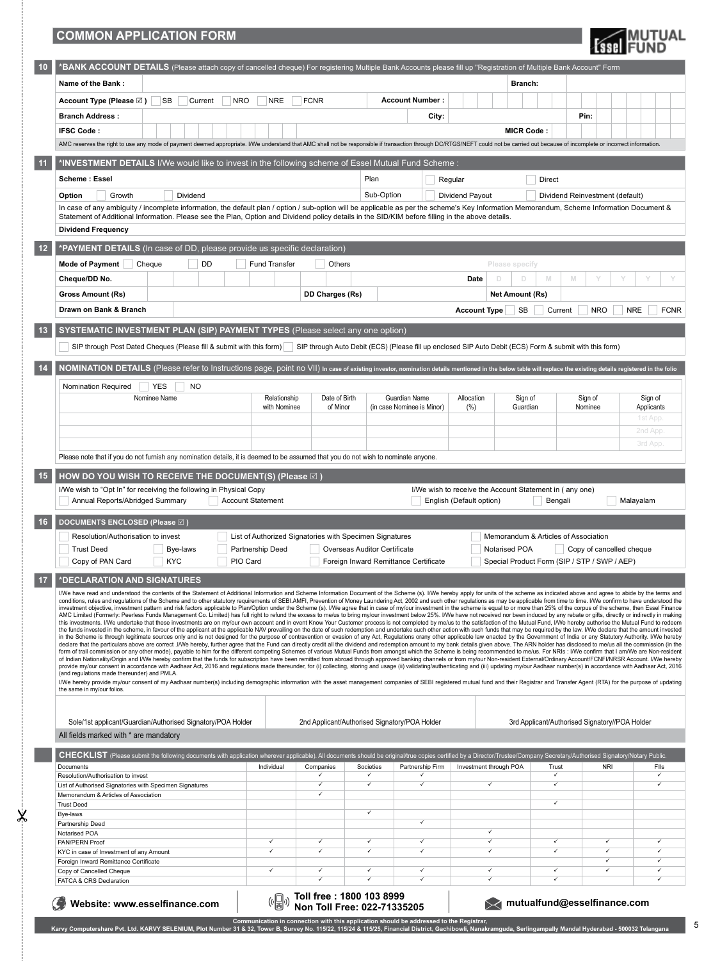## **COMMON APPLICATION FORM**

 $\frac{1}{2}$ 

 $-\frac{1}{2}$ 

| <b>Essel</b> FUND |  |
|-------------------|--|
|-------------------|--|

5

| Name of the Bank:                                                                                                                                                                                                                                                                                                                                                                                                                                                |                                                         |                 |                                                                                                                                                    |                                                         | Branch:                                        |                                 |                           |
|------------------------------------------------------------------------------------------------------------------------------------------------------------------------------------------------------------------------------------------------------------------------------------------------------------------------------------------------------------------------------------------------------------------------------------------------------------------|---------------------------------------------------------|-----------------|----------------------------------------------------------------------------------------------------------------------------------------------------|---------------------------------------------------------|------------------------------------------------|---------------------------------|---------------------------|
| <b>SB</b><br><b>NRO</b><br>Account Type (Please $\boxtimes$ )<br>Current                                                                                                                                                                                                                                                                                                                                                                                         | <b>NRE</b>                                              | <b>FCNR</b>     | <b>Account Number:</b>                                                                                                                             |                                                         |                                                |                                 |                           |
| <b>Branch Address:</b>                                                                                                                                                                                                                                                                                                                                                                                                                                           |                                                         |                 | City:                                                                                                                                              |                                                         |                                                | Pin:                            |                           |
| <b>IFSC Code:</b>                                                                                                                                                                                                                                                                                                                                                                                                                                                |                                                         |                 |                                                                                                                                                    |                                                         | <b>MICR Code:</b>                              |                                 |                           |
| AMC reserves the right to use any mode of payment deemed appropriate. I/We understand that AMC shall not be responsible if transaction through DC/RTGS/NEFT could not be carried out because of incomplete or incorrect inform                                                                                                                                                                                                                                   |                                                         |                 |                                                                                                                                                    |                                                         |                                                |                                 |                           |
|                                                                                                                                                                                                                                                                                                                                                                                                                                                                  |                                                         |                 |                                                                                                                                                    |                                                         |                                                |                                 |                           |
| *INVESTMENT DETAILS I/We would like to invest in the following scheme of Essel Mutual Fund Scheme:<br>11                                                                                                                                                                                                                                                                                                                                                         |                                                         |                 |                                                                                                                                                    |                                                         |                                                |                                 |                           |
| Scheme: Essel                                                                                                                                                                                                                                                                                                                                                                                                                                                    |                                                         |                 | Plan                                                                                                                                               | Regular                                                 | Direct                                         |                                 |                           |
| Dividend<br>Option<br>Growth                                                                                                                                                                                                                                                                                                                                                                                                                                     |                                                         |                 | Sub-Option                                                                                                                                         | Dividend Payout                                         |                                                | Dividend Reinvestment (default) |                           |
| In case of any ambiquity / incomplete information, the default plan / option / sub-option will be applicable as per the scheme's Key Information Memorandum, Scheme Information Document &                                                                                                                                                                                                                                                                       |                                                         |                 |                                                                                                                                                    |                                                         |                                                |                                 |                           |
| Statement of Additional Information. Please see the Plan, Option and Dividend policy details in the SID/KIM before filling in the above details.                                                                                                                                                                                                                                                                                                                 |                                                         |                 |                                                                                                                                                    |                                                         |                                                |                                 |                           |
| <b>Dividend Frequency</b>                                                                                                                                                                                                                                                                                                                                                                                                                                        |                                                         |                 |                                                                                                                                                    |                                                         |                                                |                                 |                           |
| 12<br>*PAYMENT DETAILS (In case of DD, please provide us specific declaration)                                                                                                                                                                                                                                                                                                                                                                                   |                                                         |                 |                                                                                                                                                    |                                                         |                                                |                                 |                           |
| <b>DD</b><br><b>Mode of Payment</b><br>Cheque                                                                                                                                                                                                                                                                                                                                                                                                                    | Fund Transfer                                           | Others          |                                                                                                                                                    | Please specify                                          |                                                |                                 |                           |
| Cheque/DD No.                                                                                                                                                                                                                                                                                                                                                                                                                                                    |                                                         |                 |                                                                                                                                                    | Date<br>D                                               | M<br>M<br>D.                                   |                                 |                           |
| Gross Amount (Rs)                                                                                                                                                                                                                                                                                                                                                                                                                                                |                                                         | DD Charges (Rs) |                                                                                                                                                    |                                                         | <b>Net Amount (Rs)</b>                         |                                 |                           |
|                                                                                                                                                                                                                                                                                                                                                                                                                                                                  |                                                         |                 |                                                                                                                                                    |                                                         |                                                |                                 |                           |
| Drawn on Bank & Branch                                                                                                                                                                                                                                                                                                                                                                                                                                           |                                                         |                 |                                                                                                                                                    | <b>Account Type</b>                                     | SB<br>Current                                  | <b>NRO</b>                      | <b>FCNR</b><br><b>NRE</b> |
| SYSTEMATIC INVESTMENT PLAN (SIP) PAYMENT TYPES (Please select any one option)<br>13                                                                                                                                                                                                                                                                                                                                                                              |                                                         |                 |                                                                                                                                                    |                                                         |                                                |                                 |                           |
| SIP through Post Dated Cheques (Please fill & submit with this form)                                                                                                                                                                                                                                                                                                                                                                                             |                                                         |                 | SIP through Auto Debit (ECS) (Please fill up enclosed SIP Auto Debit (ECS) Form & submit with this form)                                           |                                                         |                                                |                                 |                           |
|                                                                                                                                                                                                                                                                                                                                                                                                                                                                  |                                                         |                 |                                                                                                                                                    |                                                         |                                                |                                 |                           |
| 14<br>NOMINATION DETAILS (Please refer to Instructions page, point no VII) in case of existing investor, nomination details mentioned in the below table will replace the existing details registered in the folio                                                                                                                                                                                                                                               |                                                         |                 |                                                                                                                                                    |                                                         |                                                |                                 |                           |
| Nomination Required<br><b>YES</b><br><b>NO</b>                                                                                                                                                                                                                                                                                                                                                                                                                   |                                                         |                 |                                                                                                                                                    |                                                         |                                                |                                 |                           |
| Nominee Name                                                                                                                                                                                                                                                                                                                                                                                                                                                     | Relationship                                            | Date of Birth   | Guardian Name                                                                                                                                      | Allocation                                              | Sign of                                        | Sign of                         | Sign of                   |
|                                                                                                                                                                                                                                                                                                                                                                                                                                                                  | with Nominee                                            | of Minor        | (in case Nominee is Minor)                                                                                                                         | (%)                                                     | Guardian                                       | Nominee                         | Applicants                |
|                                                                                                                                                                                                                                                                                                                                                                                                                                                                  |                                                         |                 |                                                                                                                                                    |                                                         |                                                |                                 | 1st App                   |
|                                                                                                                                                                                                                                                                                                                                                                                                                                                                  |                                                         |                 |                                                                                                                                                    |                                                         |                                                |                                 | 2nd App                   |
|                                                                                                                                                                                                                                                                                                                                                                                                                                                                  |                                                         |                 |                                                                                                                                                    |                                                         |                                                |                                 | 3rd App.                  |
| Please note that if you do not furnish any nomination details, it is deemed to be assumed that you do not wish to nominate anyone.                                                                                                                                                                                                                                                                                                                               |                                                         |                 |                                                                                                                                                    |                                                         |                                                |                                 |                           |
| 15<br>HOW DO YOU WISH TO RECEIVE THE DOCUMENT(S) (Please $\boxtimes$ )                                                                                                                                                                                                                                                                                                                                                                                           |                                                         |                 |                                                                                                                                                    |                                                         |                                                |                                 |                           |
| I/We wish to "Opt In" for receiving the following in Physical Copy                                                                                                                                                                                                                                                                                                                                                                                               |                                                         |                 |                                                                                                                                                    | I/We wish to receive the Account Statement in (any one) |                                                |                                 |                           |
| Annual Reports/Abridged Summary                                                                                                                                                                                                                                                                                                                                                                                                                                  | <b>Account Statement</b>                                |                 |                                                                                                                                                    | English (Default option)                                | Bengali                                        |                                 | Malayalam                 |
|                                                                                                                                                                                                                                                                                                                                                                                                                                                                  |                                                         |                 |                                                                                                                                                    |                                                         |                                                |                                 |                           |
|                                                                                                                                                                                                                                                                                                                                                                                                                                                                  |                                                         |                 |                                                                                                                                                    |                                                         |                                                |                                 |                           |
| 16<br>DOCUMENTS ENCLOSED (Please $\boxtimes$ )                                                                                                                                                                                                                                                                                                                                                                                                                   |                                                         |                 |                                                                                                                                                    |                                                         |                                                |                                 |                           |
| Resolution/Authorisation to invest                                                                                                                                                                                                                                                                                                                                                                                                                               | List of Authorized Signatories with Specimen Signatures |                 |                                                                                                                                                    |                                                         | Memorandum & Articles of Association           |                                 |                           |
| <b>Trust Deed</b><br>Bye-laws<br><b>KYC</b>                                                                                                                                                                                                                                                                                                                                                                                                                      | Partnership Deed<br>PIO Card                            |                 | Overseas Auditor Certificate                                                                                                                       | Notarised POA                                           |                                                | Copy of cancelled cheque        |                           |
| Copy of PAN Card                                                                                                                                                                                                                                                                                                                                                                                                                                                 |                                                         |                 | Foreign Inward Remittance Certificate                                                                                                              |                                                         | Special Product Form (SIP / STP / SWP / AEP)   |                                 |                           |
| 17<br>*DECLARATION AND SIGNATURES                                                                                                                                                                                                                                                                                                                                                                                                                                |                                                         |                 |                                                                                                                                                    |                                                         |                                                |                                 |                           |
| I/We have read and understood the contents of the Statement of Additional Information and Scheme Information Document of the Scheme (s). I/We hereby apply for units of the scheme as indicated above and agree to abide by th<br>conditions, rules and regulations of the Scheme and to other statutory requirements of SEBI.AMFI, Prevention of Money Laundering Act, 2002 and such other regulations as may be applicable from time to time. I/We confirm to  |                                                         |                 |                                                                                                                                                    |                                                         |                                                |                                 |                           |
| investment objective, investment pattern and risk factors applicable to Plan/Option under the Scheme (s). I/We agree that in case of my/our investment in the scheme is equal to or more than 25% of the corpus of the scheme,                                                                                                                                                                                                                                   |                                                         |                 |                                                                                                                                                    |                                                         |                                                |                                 |                           |
| AMC Limited (Formerly: Peerless Funds Management Co. Limited) has full right to refund the excess to me/us to bring my/our investment below 25%. I/We have not received nor been induced by any rebate or gifts, directly or i<br>this investments. I/We undertake that these investments are on my/our own account and in event Know Your Customer process is not completed by me/us to the satisfaction of the Mutual Fund, I/We hereby authorise the Mutual F |                                                         |                 |                                                                                                                                                    |                                                         |                                                |                                 |                           |
| the funds invested in the scheme, in favour of the applicant at the applicable NAV prevailing on the date of such redemption and undertake such other action with such funds that may be required by the law. I/We declare tha<br>in the Scheme is through legitimate sources only and is not designed for the purpose of contravention or evasion of any Act, Regulations orany other applicable law enacted by the Government of India or any Statutory Author |                                                         |                 |                                                                                                                                                    |                                                         |                                                |                                 |                           |
| declare that the particulars above are correct .I/We hereby, further agree that the Fund can directly credit all the dividend and redemption amount to my bank details given above. The ARN holder has disclosed to me/us all<br>form of trail commission or any other mode), payable to him for the different competing Schemes of various Mutual Funds from amongst which the Scheme is being recommended to me/us. For NRIs: I/We confirm that I am/We are N  |                                                         |                 |                                                                                                                                                    |                                                         |                                                |                                 |                           |
| of Indian Nationality/Origin and I/We hereby confirm that the funds for subscription have been remitted from abroad through approved banking channels or from my/our Non-resident External/Ordinary Account/FCNFI/NRSR Account<br>provide my/our consent in accordance with Aadhaar Act, 2016 and regulations made thereunder, for (i) collecting, storing and usage (ii) validating/authenticating and (iii) updating my/our Aadhaar number(s) in accordance wi |                                                         |                 |                                                                                                                                                    |                                                         |                                                |                                 |                           |
| (and regulations made thereunder) and PMLA.                                                                                                                                                                                                                                                                                                                                                                                                                      |                                                         |                 |                                                                                                                                                    |                                                         |                                                |                                 |                           |
| I/We hereby provide my/our consent of my Aadhaar number(s) including demographic information with the asset management companies of SEBI registered mutual fund and their Registrar and Transfer Agent (RTA) for the purpose o<br>the same in my/our folios.                                                                                                                                                                                                     |                                                         |                 |                                                                                                                                                    |                                                         |                                                |                                 |                           |
|                                                                                                                                                                                                                                                                                                                                                                                                                                                                  |                                                         |                 |                                                                                                                                                    |                                                         |                                                |                                 |                           |
|                                                                                                                                                                                                                                                                                                                                                                                                                                                                  |                                                         |                 |                                                                                                                                                    |                                                         | 3rd Applicant/Authorised Signatory//POA Holder |                                 |                           |
| Sole/1st applicant/Guardian/Authorised Signatory/POA Holder                                                                                                                                                                                                                                                                                                                                                                                                      |                                                         |                 | 2nd Applicant/Authorised Signatory/POA Holder                                                                                                      |                                                         |                                                |                                 |                           |
| All fields marked with * are mandatory                                                                                                                                                                                                                                                                                                                                                                                                                           |                                                         |                 |                                                                                                                                                    |                                                         |                                                |                                 |                           |
| CHECKLIST (Please submit the following documents with application wherever applicable). All documents should be original/true copies certified by a Director/Trustee/Company Secretary/Authorised Signatory/Notary Public.                                                                                                                                                                                                                                       |                                                         |                 |                                                                                                                                                    |                                                         |                                                |                                 |                           |
| Documents<br>Resolution/Authorisation to invest                                                                                                                                                                                                                                                                                                                                                                                                                  | Individual                                              | Companies<br>✓  | Partnership Firm<br>Societies<br>✓                                                                                                                 | Investment through POA                                  | Trust<br>✓                                     | <b>NRI</b>                      | Flis<br>$\checkmark$      |
| List of Authorised Signatories with Specimen Signatures                                                                                                                                                                                                                                                                                                                                                                                                          |                                                         | ✓               | ✓<br>✓                                                                                                                                             | ✓                                                       | ✓                                              |                                 | $\checkmark$              |
| Memorandum & Articles of Association                                                                                                                                                                                                                                                                                                                                                                                                                             |                                                         | ✓               |                                                                                                                                                    |                                                         | ✓                                              |                                 |                           |
| <b>Trust Deed</b><br>Bye-laws                                                                                                                                                                                                                                                                                                                                                                                                                                    |                                                         |                 | ✓                                                                                                                                                  |                                                         |                                                |                                 |                           |
| Partnership Deed                                                                                                                                                                                                                                                                                                                                                                                                                                                 |                                                         |                 | ✓                                                                                                                                                  |                                                         |                                                |                                 |                           |
| Notarised POA<br>PAN/PERN Proof                                                                                                                                                                                                                                                                                                                                                                                                                                  | ✓                                                       | ✓               | ✓<br>✓                                                                                                                                             | ✓<br>✓                                                  | ✓                                              | ✓                               |                           |
| KYC in case of Investment of any Amount                                                                                                                                                                                                                                                                                                                                                                                                                          | ✓                                                       | ✓               | ✓<br>✓                                                                                                                                             | ✓                                                       | $\checkmark$                                   | ✓                               | $\checkmark$              |
| Foreign Inward Remittance Certificate                                                                                                                                                                                                                                                                                                                                                                                                                            |                                                         | ✓               | $\checkmark$<br>✓                                                                                                                                  |                                                         |                                                | ✓                               | $\checkmark$              |
| Copy of Cancelled Cheque<br>FATCA & CRS Declaration                                                                                                                                                                                                                                                                                                                                                                                                              | ✓                                                       | ✓               | ✓<br>✓                                                                                                                                             | ✓<br>✓                                                  | ✓<br>✓                                         |                                 | $\checkmark$              |
|                                                                                                                                                                                                                                                                                                                                                                                                                                                                  |                                                         |                 |                                                                                                                                                    |                                                         |                                                |                                 |                           |
| Website: www.esselfinance.com                                                                                                                                                                                                                                                                                                                                                                                                                                    |                                                         |                 |                                                                                                                                                    |                                                         | mutualfund@esselfinance.com                    |                                 |                           |
|                                                                                                                                                                                                                                                                                                                                                                                                                                                                  |                                                         |                 | Toll free: 1800 103 8999<br>Non Toll Free: 022-71335205<br>Communication in connection with this application should be addressed to the Registrar, |                                                         |                                                |                                 |                           |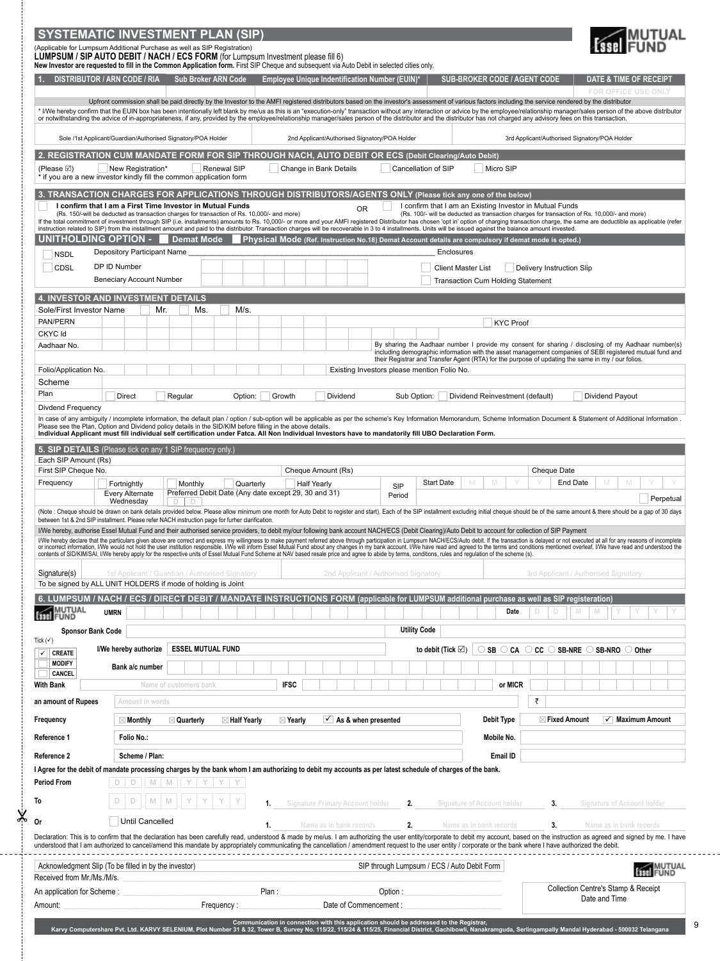|                                                 | <b>SYSTEMATIC INVESTMENT PLAN (SIP)</b>                                                                                                                                                                                                                                                                                                                                                                                                                                                                |                                     |
|-------------------------------------------------|--------------------------------------------------------------------------------------------------------------------------------------------------------------------------------------------------------------------------------------------------------------------------------------------------------------------------------------------------------------------------------------------------------------------------------------------------------------------------------------------------------|-------------------------------------|
|                                                 | (Applicable for Lumpsum Additional Purchase as well as SIP Registration)<br>LUMPSUM / SIP AUTO DEBIT / NACH / ECS FORM (for Lumpsum Investment please fill 6)<br>New Investor are requested to fill in the Common Application form. First SIP Cheque and subsequent via Auto Debit in selected cities only.                                                                                                                                                                                            |                                     |
| <b>DISTRIBUTOR / ARN CODE / RIA</b>             | Employee Unique Indentification Number (EUIN)*<br><b>Sub Broker ARN Code</b><br><b>SUB-BROKER CODE / AGENT CODE</b>                                                                                                                                                                                                                                                                                                                                                                                    | DATE & TIME OF RECEIPT              |
|                                                 | Upfront commission shall be paid directly by the Investor to the AMFI registered distributors based on the investor's assessment of various factors including the service rendered by the distributor                                                                                                                                                                                                                                                                                                  | <b>FOR OFFICE USE ONLY</b>          |
|                                                 | * I/We hereby confirm that the EUIN box has been intentionally left blank by me/us as this is an "execution-only" transaction without any interaction or advice by the employee/relationship manager/sales person of the above<br>or notwithstanding the advice of in-appropriateness, if any, provided by the employee/relationship manager/sales person of the distributor and the distributor has not charged any advisory fees on this transaction.                                                |                                     |
|                                                 | Sole /1st Applicant/Guardian/Authorised Signatory/POA Holder<br>2nd Applicant/Authorised Signatory/POA Holder<br>3rd Applicant/Authorised Signatory/POA Holder                                                                                                                                                                                                                                                                                                                                         |                                     |
|                                                 | 2. REGISTRATION CUM MANDATE FORM FOR SIP THROUGH NACH, AUTO DEBIT OR ECS (Debit Clearing/Auto Debit)                                                                                                                                                                                                                                                                                                                                                                                                   |                                     |
| (Please $\boxtimes$ )                           | Micro SIP<br>New Registration*<br>Renewal SIP<br>Change in Bank Details<br>Cancellation of SIP<br>* if you are a new investor kindly fill the common application form                                                                                                                                                                                                                                                                                                                                  |                                     |
|                                                 | 3. TRANSACTION CHARGES FOR APPLICATIONS THROUGH DISTRIBUTORS/AGENTS ONLY (Please tick any one of the below)                                                                                                                                                                                                                                                                                                                                                                                            |                                     |
|                                                 | I confirm that I am a First Time Investor in Mutual Funds<br>I confirm that I am an Existing Investor in Mutual Funds<br><b>OR</b><br>(Rs. 150/-will be deducted as transaction charges for transaction of Rs. 10,000/- and more)<br>(Rs. 100/- will be deducted as transaction charges for transaction of Rs. 10,000/- and more)                                                                                                                                                                      |                                     |
|                                                 | If the total commitment of investment through SIP (i.e. installments) amounts to Rs. 10,000/- or more and your AMFI registered Distributor has chosen 'opt in' option of charging transaction charge, the same are deductible<br>instruction related to SIP) from the installment amount and paid to the distributor. Transaction charges will be recoverable in 3 to 4 installments. Units will be issued against the balance amount invested.                                                        |                                     |
| UNITHOLDING OPTION -                            | <b>Demat Mode</b><br>Physical Mode (Ref. Instruction No.18) Demat Account details are compulsory if demat mode is opted.)<br>Depository Participant Name<br>Enclosures                                                                                                                                                                                                                                                                                                                                 |                                     |
| <b>NSDL</b><br><b>CDSL</b>                      | DP ID Number<br><b>Client Master List</b><br><b>Delivery Instruction Slip</b>                                                                                                                                                                                                                                                                                                                                                                                                                          |                                     |
|                                                 | <b>Beneciary Account Number</b><br><b>Transaction Cum Holding Statement</b>                                                                                                                                                                                                                                                                                                                                                                                                                            |                                     |
|                                                 | <b>4. INVESTOR AND INVESTMENT DETAILS</b>                                                                                                                                                                                                                                                                                                                                                                                                                                                              |                                     |
| Sole/First Investor Name                        | Mr.<br>Ms.<br>M/s.                                                                                                                                                                                                                                                                                                                                                                                                                                                                                     |                                     |
| PAN/PERN<br>CKYC Id                             | <b>KYC Proof</b>                                                                                                                                                                                                                                                                                                                                                                                                                                                                                       |                                     |
| Aadhaar No.                                     | By sharing the Aadhaar number I provide my consent for sharing / disclosing of my Aadhaar number(s)<br>including demographic information with the asset management companies of SEBI registered mutual fund and                                                                                                                                                                                                                                                                                        |                                     |
|                                                 | their Registrar and Transfer Agent (RTA) for the purpose of updating the same in my / our folios.                                                                                                                                                                                                                                                                                                                                                                                                      |                                     |
| Folio/Application No.<br>Scheme                 | Existing Investors please mention Folio No.                                                                                                                                                                                                                                                                                                                                                                                                                                                            |                                     |
| Plan                                            | Direct<br>Regular<br>Option:<br>Growth<br>Dividend<br>Dividend Reinvestment (default)<br>Sub Option:                                                                                                                                                                                                                                                                                                                                                                                                   | Dividend Payout                     |
| Divdend Frequency                               |                                                                                                                                                                                                                                                                                                                                                                                                                                                                                                        |                                     |
|                                                 | In case of any ambiquity / incomplete information, the default plan / option / sub-option will be applicable as per the scheme's Key Information Memorandum, Scheme Information Document & Statement of Additional Information<br>Please see the Plan, Option and Dividend policy details in the SID/KIM before filling in the above details.<br>Individual Applicant must fill individual self certification under Fatca. All Non Individual Investors have to mandatorily fill UBO Declaration Form. |                                     |
| Each SIP Amount (Rs)                            | 5. SIP DETAILS (Please tick on any 1 SIP frequency only.)                                                                                                                                                                                                                                                                                                                                                                                                                                              |                                     |
| First SIP Cheque No.                            | Cheque Amount (Rs)<br>Cheque Date                                                                                                                                                                                                                                                                                                                                                                                                                                                                      |                                     |
| Frequency                                       | <b>Start Date</b><br>End Date<br>Fortnightly<br>Monthly<br>Quarterly<br><b>Half Yearly</b><br>SIP<br>Preferred Debit Date (Any date except 29, 30 and 31)<br><b>Every Alternate</b><br>Period                                                                                                                                                                                                                                                                                                          | M                                   |
|                                                 | Wednesday<br>Ð<br>(Note : Cheque should be drawn on bank details provided below. Please allow minimum one month for Auto Debit to register and start). Each of the SIP installment excluding initial cheque should be of the same amount & there                                                                                                                                                                                                                                                       | Perpetual                           |
|                                                 | between 1st & 2nd SIP installment. Please refer NACH instruction page for furher clarification.                                                                                                                                                                                                                                                                                                                                                                                                        |                                     |
|                                                 | I/We hereby, authorise Essel Mutual Fund and their authorised service providers, to debit my/our following bank account NACH/ECS (Debit Clearing)/Auto Debit to account for collection of SIP Payment<br>I/We hereby declare that the particulars given above are correct and express my willingness to make payment referred above through participation in Lumpsum NACH/ECS/Auto debit. If the transaction is delayed or not executed                                                                |                                     |
|                                                 | contents of SID/KIM/SAI, I/We hereby apply for the respective units of Essel Mutual Fund Scheme at NAV based resale price and agree to abide by terms, conditions, rules and regulation of the scheme (s).                                                                                                                                                                                                                                                                                             |                                     |
| Signature(s)                                    | 1st Applicant / Guardian / Authorised Signatory<br>2nd Applicant / Authorised Signatory<br>3rd Applicant / Authorised Signatory                                                                                                                                                                                                                                                                                                                                                                        |                                     |
|                                                 | To be signed by ALL UNIT HOLDERS if mode of holding is Joint                                                                                                                                                                                                                                                                                                                                                                                                                                           |                                     |
| MUTUAL<br>FUND                                  | 6. LUMPSUM / NACH / ECS / DIRECT DEBIT / MANDATE INSTRUCTIONS FORM (applicable for LUMPSUM additional purchase as well as SIP registeration)<br>Date<br>D<br><b>UMRN</b>                                                                                                                                                                                                                                                                                                                               |                                     |
|                                                 | <b>Utility Code</b>                                                                                                                                                                                                                                                                                                                                                                                                                                                                                    |                                     |
| <b>Sponsor Bank Code</b><br>Tick $(\checkmark)$ |                                                                                                                                                                                                                                                                                                                                                                                                                                                                                                        |                                     |
| $\checkmark$<br><b>CREATE</b><br><b>MODIFY</b>  | <b>ESSEL MUTUAL FUND</b><br>I/We hereby authorize<br>$\circ$ SB $\circ$ CA $\circ$ CC $\circ$ SB-NRE $\circ$ SB-NRO $\circ$ Other<br>to debit (Tick $\boxtimes$ )                                                                                                                                                                                                                                                                                                                                      |                                     |
| CANCEL                                          | Bank a/c number                                                                                                                                                                                                                                                                                                                                                                                                                                                                                        |                                     |
| <b>With Bank</b>                                | <b>IFSC</b><br>or MICR<br>Name of customers bank                                                                                                                                                                                                                                                                                                                                                                                                                                                       |                                     |
| an amount of Rupees                             | ₹<br>Amount in words                                                                                                                                                                                                                                                                                                                                                                                                                                                                                   |                                     |
| Frequency                                       | Debit Type<br>$\vee$ As & when presented<br>$\boxtimes$ Fixed Amount<br>$\boxtimes$ Monthly<br>$\boxtimes$ Quarterly<br>$\boxtimes$ Half Yearly<br>$\boxtimes$ Yearly                                                                                                                                                                                                                                                                                                                                  | $\checkmark$ Maximum Amount         |
| Reference 1                                     | Folio No.:<br>Mobile No.                                                                                                                                                                                                                                                                                                                                                                                                                                                                               |                                     |
| Reference 2                                     | Scheme / Plan:<br>Email ID                                                                                                                                                                                                                                                                                                                                                                                                                                                                             |                                     |
| <b>Period From</b>                              | I Agree for the debit of mandate processing charges by the bank whom I am authorizing to debit my accounts as per latest schedule of charges of the bank.<br>D<br>D<br>$M$ $M$<br>Y Y Y Y                                                                                                                                                                                                                                                                                                              |                                     |
|                                                 |                                                                                                                                                                                                                                                                                                                                                                                                                                                                                                        |                                     |
| To                                              | M<br>D<br><b>Signature Primary Account holder</b><br>Signature of Account holder<br>2.<br>3.<br>1.                                                                                                                                                                                                                                                                                                                                                                                                     | <b>Signature of Account holder</b>  |
| Оr                                              | Until Cancelled<br>Name as in bank records<br>Name as in bank records<br>1.<br>2.<br>3.                                                                                                                                                                                                                                                                                                                                                                                                                | Name as in bank records             |
|                                                 | Declaration: This is to confirm that the declaration has been carefully read, understood & made by me/us. I am authorizing the user entity/corporate to debit my account, based on the instruction as agreed and signed by me.<br>understood that I am authorized to cancel/amend this mandate by appropriately communicating the cancellation / amendment request to the user entity / corporate or the bank where I have authorized the debit.                                                       |                                     |
| Received from Mr./Ms./M/s.                      | SIP through Lumpsum / ECS / Auto Debit Form<br>Acknowledgment Slip (To be filled in by the investor)                                                                                                                                                                                                                                                                                                                                                                                                   | MUTUAL<br>FUND                      |
| An application for Scheme:                      | Plan:<br>Option:                                                                                                                                                                                                                                                                                                                                                                                                                                                                                       | Collection Centre's Stamp & Receipt |
| Amount:                                         | Date of Commencement :<br>Frequency:                                                                                                                                                                                                                                                                                                                                                                                                                                                                   | Date and Time                       |
|                                                 | Communication in connection with this application should be addressed to the Registrar,<br>Karvy Computershare Pvt. Ltd. KARVY SELENIUM, Plot Number 31 & 32, Tower B, Survey No. 115/22, 115/24 & 115/25, Financial District, Ga                                                                                                                                                                                                                                                                      |                                     |

 $-\frac{1}{2}$ 

|  |   | ٦<br>۹ |  |
|--|---|--------|--|
|  |   |        |  |
|  | × |        |  |
|  |   |        |  |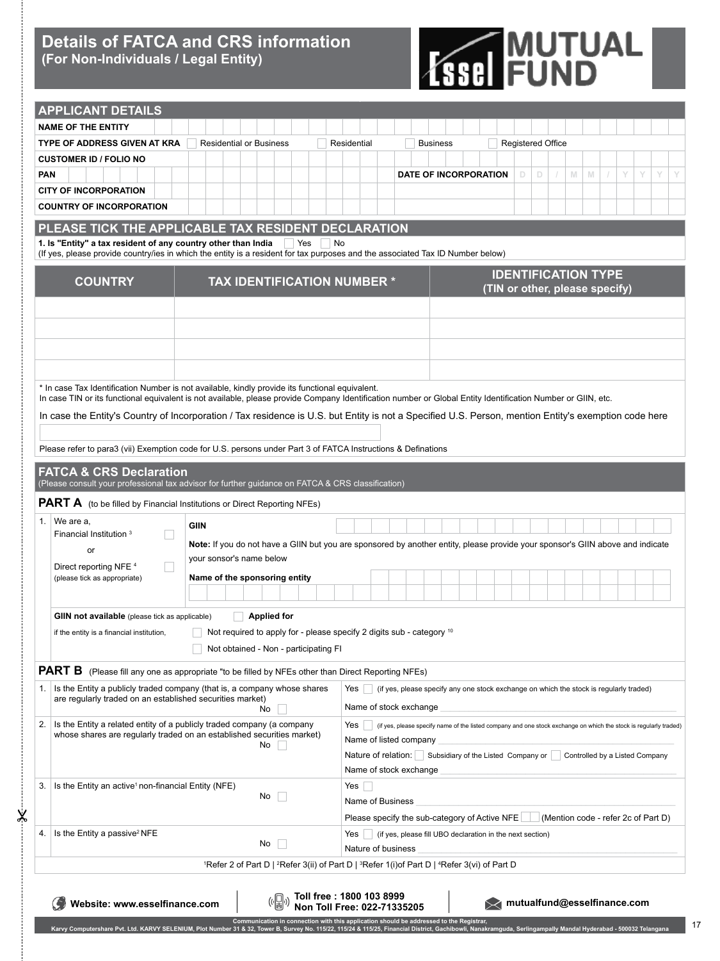## **Details of FATCA and CRS information (For Non-Individuals / Legal Entity)**

 $\times$ 



17

| <b>APPLICANT DETAILS</b>                                                                                                                                     |                                                                                                                                                                                                                                                                                                             |
|--------------------------------------------------------------------------------------------------------------------------------------------------------------|-------------------------------------------------------------------------------------------------------------------------------------------------------------------------------------------------------------------------------------------------------------------------------------------------------------|
| <b>NAME OF THE ENTITY</b>                                                                                                                                    |                                                                                                                                                                                                                                                                                                             |
| <b>TYPE OF ADDRESS GIVEN AT KRA</b><br><b>Residential or Business</b>                                                                                        | <b>Registered Office</b><br>Residential<br><b>Business</b>                                                                                                                                                                                                                                                  |
| <b>CUSTOMER ID / FOLIO NO</b>                                                                                                                                |                                                                                                                                                                                                                                                                                                             |
| <b>PAN</b>                                                                                                                                                   | <b>DATE OF INCORPORATION</b><br>M<br>Y<br>D.<br>D<br>M<br>Y<br>Y                                                                                                                                                                                                                                            |
| <b>CITY OF INCORPORATION</b>                                                                                                                                 |                                                                                                                                                                                                                                                                                                             |
| <b>COUNTRY OF INCORPORATION</b>                                                                                                                              |                                                                                                                                                                                                                                                                                                             |
| PLEASE TICK THE APPLICABLE TAX RESIDENT DECLARATION                                                                                                          |                                                                                                                                                                                                                                                                                                             |
| 1. Is "Entity" a tax resident of any country other than India<br>  Yes                                                                                       | No                                                                                                                                                                                                                                                                                                          |
| (If yes, please provide country/ies in which the entity is a resident for tax purposes and the associated Tax ID Number below)                               |                                                                                                                                                                                                                                                                                                             |
| <b>TAX IDENTIFICATION NUMBER *</b>                                                                                                                           | <b>IDENTIFICATION TYPE</b>                                                                                                                                                                                                                                                                                  |
| <b>COUNTRY</b>                                                                                                                                               | (TIN or other, please specify)                                                                                                                                                                                                                                                                              |
|                                                                                                                                                              |                                                                                                                                                                                                                                                                                                             |
|                                                                                                                                                              |                                                                                                                                                                                                                                                                                                             |
|                                                                                                                                                              |                                                                                                                                                                                                                                                                                                             |
|                                                                                                                                                              |                                                                                                                                                                                                                                                                                                             |
|                                                                                                                                                              |                                                                                                                                                                                                                                                                                                             |
| * In case Tax Identification Number is not available, kindly provide its functional equivalent.                                                              |                                                                                                                                                                                                                                                                                                             |
| In case TIN or its functional equivalent is not available, please provide Company Identification number or Global Entity Identification Number or GIIN, etc. |                                                                                                                                                                                                                                                                                                             |
|                                                                                                                                                              | In case the Entity's Country of Incorporation / Tax residence is U.S. but Entity is not a Specified U.S. Person, mention Entity's exemption code here                                                                                                                                                       |
|                                                                                                                                                              |                                                                                                                                                                                                                                                                                                             |
| Please refer to para3 (vii) Exemption code for U.S. persons under Part 3 of FATCA Instructions & Definations                                                 |                                                                                                                                                                                                                                                                                                             |
| <b>FATCA &amp; CRS Declaration</b>                                                                                                                           |                                                                                                                                                                                                                                                                                                             |
| (Please consult your professional tax advisor for further guidance on FATCA & CRS classification)                                                            |                                                                                                                                                                                                                                                                                                             |
| <b>PART A</b> (to be filled by Financial Institutions or Direct Reporting NFEs)                                                                              |                                                                                                                                                                                                                                                                                                             |
| We are a,<br>1.<br>GIIN                                                                                                                                      |                                                                                                                                                                                                                                                                                                             |
| Financial Institution <sup>3</sup>                                                                                                                           | Note: If you do not have a GIIN but you are sponsored by another entity, please provide your sponsor's GIIN above and indicate                                                                                                                                                                              |
| or<br>your sonsor's name below                                                                                                                               |                                                                                                                                                                                                                                                                                                             |
| Direct reporting NFE <sup>4</sup><br>Name of the sponsoring entity<br>(please tick as appropriate)                                                           |                                                                                                                                                                                                                                                                                                             |
|                                                                                                                                                              |                                                                                                                                                                                                                                                                                                             |
| GIIN not available (please tick as applicable)<br><b>Applied for</b>                                                                                         |                                                                                                                                                                                                                                                                                                             |
| Not required to apply for - please specify 2 digits sub - category <sup>10</sup><br>if the entity is a financial institution,                                |                                                                                                                                                                                                                                                                                                             |
| Not obtained - Non - participating FI                                                                                                                        |                                                                                                                                                                                                                                                                                                             |
|                                                                                                                                                              |                                                                                                                                                                                                                                                                                                             |
| <b>PART B</b><br>(Please fill any one as appropriate "to be filled by NFEs other than Direct Reporting NFEs)                                                 |                                                                                                                                                                                                                                                                                                             |
| Is the Entity a publicly traded company (that is, a company whose shares<br>1.<br>are regularly traded on an established securities market)                  | Yes     (if yes, please specify any one stock exchange on which the stock is regularly traded)                                                                                                                                                                                                              |
| No.                                                                                                                                                          | Name of stock exchange                                                                                                                                                                                                                                                                                      |
| Is the Entity a related entity of a publicly traded company (a company<br>2.<br>whose shares are regularly traded on an established securities market)       | (if yes, please specify name of the listed company and one stock exchange on which the stock is regularly traded)<br>Yes                                                                                                                                                                                    |
| No.                                                                                                                                                          | Name of listed company                                                                                                                                                                                                                                                                                      |
|                                                                                                                                                              | Nature of relation: Subsidiary of the Listed Company or Controlled by a Listed Company                                                                                                                                                                                                                      |
|                                                                                                                                                              | Name of stock exchange                                                                                                                                                                                                                                                                                      |
| Is the Entity an active <sup>1</sup> non-financial Entity (NFE)<br>3.<br>No                                                                                  | Yes  <br>Name of Business                                                                                                                                                                                                                                                                                   |
|                                                                                                                                                              | Please specify the sub-category of Active NFE<br>(Mention code - refer 2c of Part D)                                                                                                                                                                                                                        |
| Is the Entity a passive <sup>2</sup> NFE<br>4.                                                                                                               | Yes   (if yes, please fill UBO declaration in the next section)                                                                                                                                                                                                                                             |
| No l                                                                                                                                                         | Nature of business                                                                                                                                                                                                                                                                                          |
|                                                                                                                                                              | <sup>1</sup> Refer 2 of Part D   <sup>2</sup> Refer 3(ii) of Part D   <sup>3</sup> Refer 1(i) of Part D   <sup>4</sup> Refer 3(vi) of Part D                                                                                                                                                                |
|                                                                                                                                                              |                                                                                                                                                                                                                                                                                                             |
|                                                                                                                                                              | Toll free : 1800 103 8999<br>Non Toll Free: 022-71335205                                                                                                                                                                                                                                                    |
| Website: www.esselfinance.com                                                                                                                                | mutualfund@esselfinance.com                                                                                                                                                                                                                                                                                 |
|                                                                                                                                                              | Communication in connection with this application should be addressed to the Registrar,<br>Karvy Computershare Pvt. Ltd. KARVY SELENIUM, Plot Number 31 & 32, Tower B, Survey No. 115/22, 115/24 & 115/25, Financial District, Gachibowli, Nanakramguda, Serlingampally Mandal Hyderabad - 500032 Telangana |
|                                                                                                                                                              |                                                                                                                                                                                                                                                                                                             |